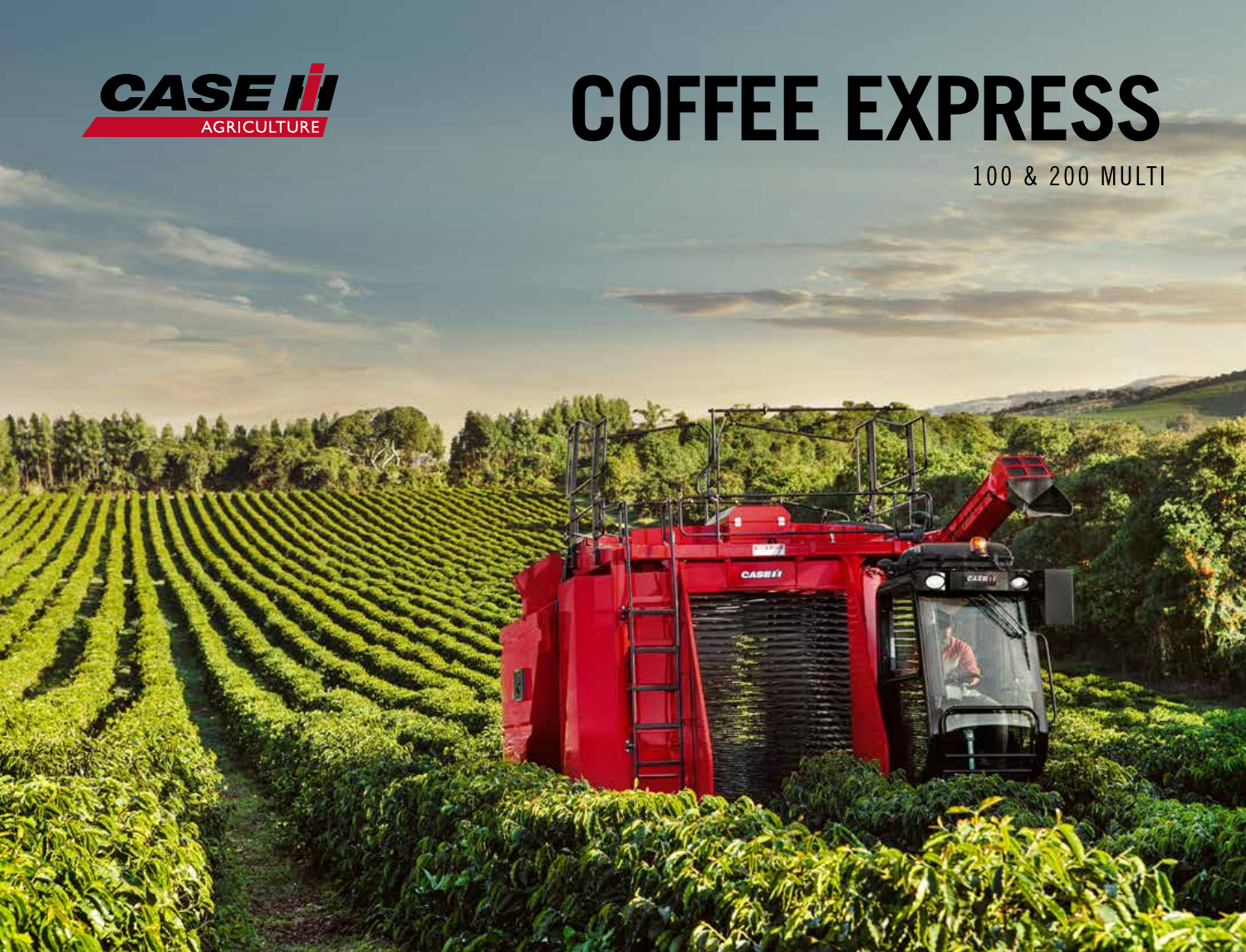

# **COFFEE EXPRESS**

**CASSIN** 

100 & 200 MULTI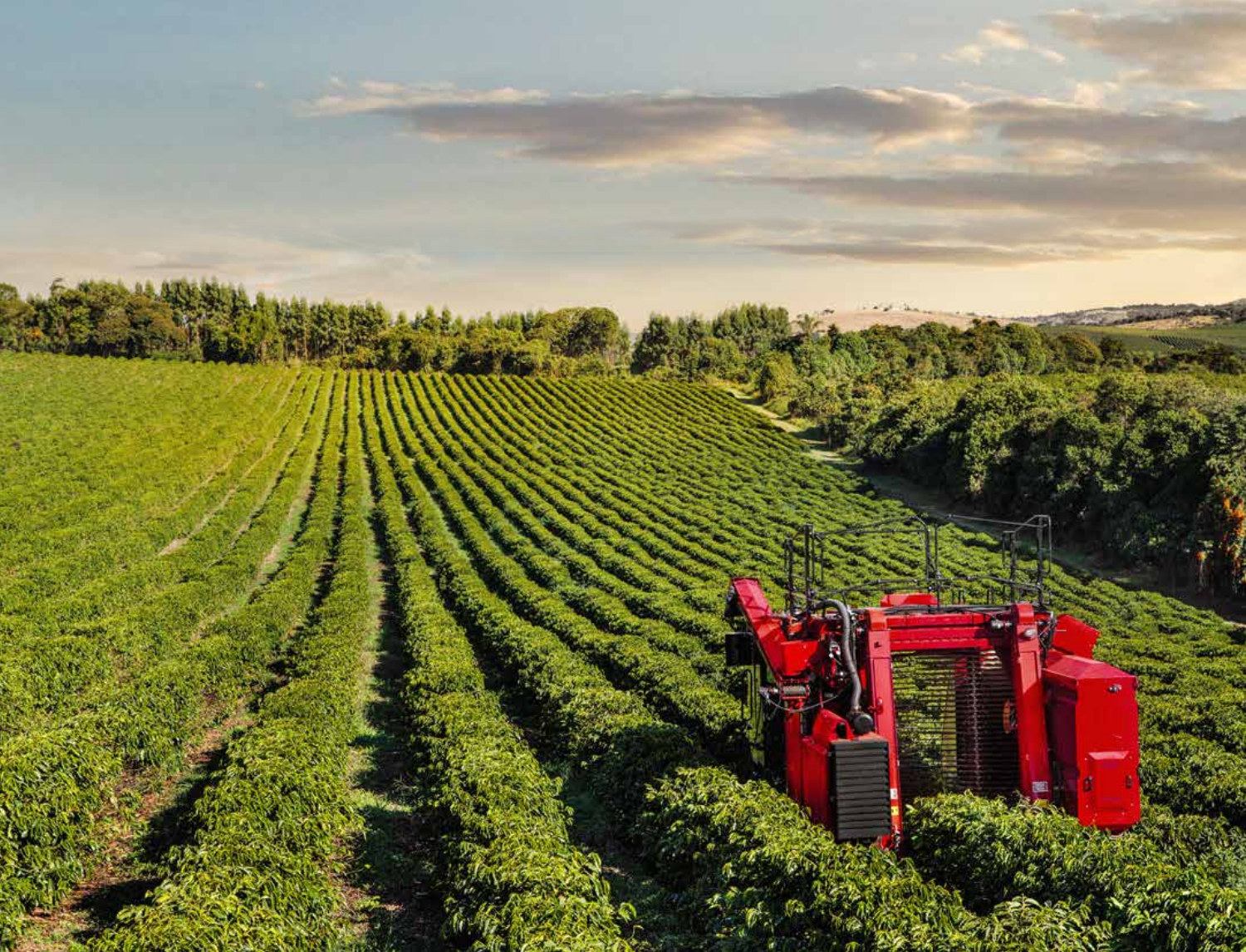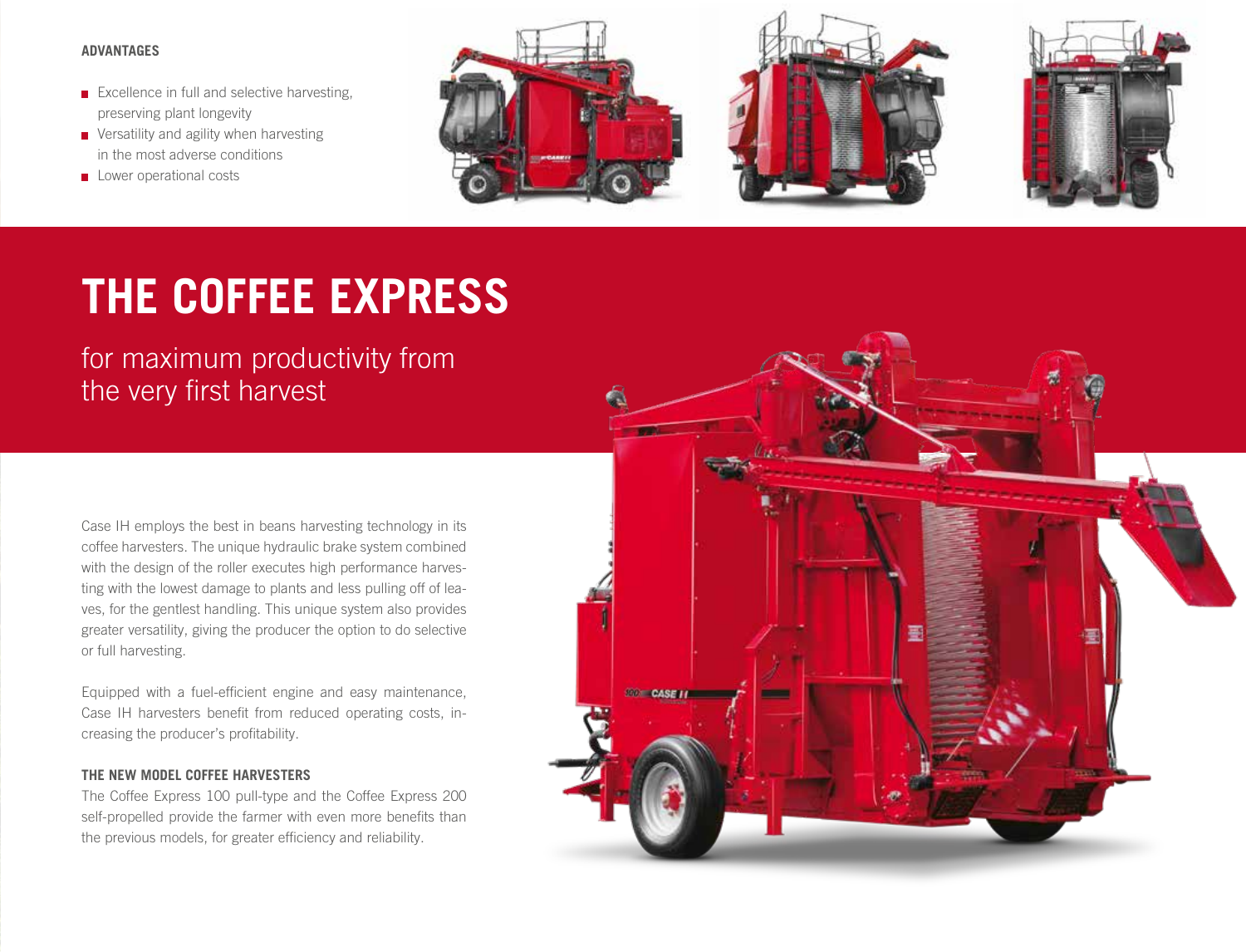#### **ADVANTAGES**

- $\blacksquare$  Excellence in full and selective harvesting. preserving plant longevity
- $\blacksquare$  Versatility and agility when harvesting in the most adverse conditions
- **Lower operational costs**





## **THE COFFEE EXPRESS**

for maximum productivity from the very first harvest

Case IH employs the best in beans harvesting technology in its coffee harvesters. The unique hydraulic brake system combined with the design of the roller executes high performance harvesting with the lowest damage to plants and less pulling off of leaves, for the gentlest handling. This unique system also provides greater versatility, giving the producer the option to do selective or full harvesting.

Equipped with a fuel-efficient engine and easy maintenance, Case IH harvesters benefit from reduced operating costs, increasing the producer's profitability.

#### **THE NEW MODEL COFFEE HARVESTERS**

The Coffee Express 100 pull-type and the Coffee Express 200 self-propelled provide the farmer with even more benefits than the previous models, for greater efficiency and reliability.